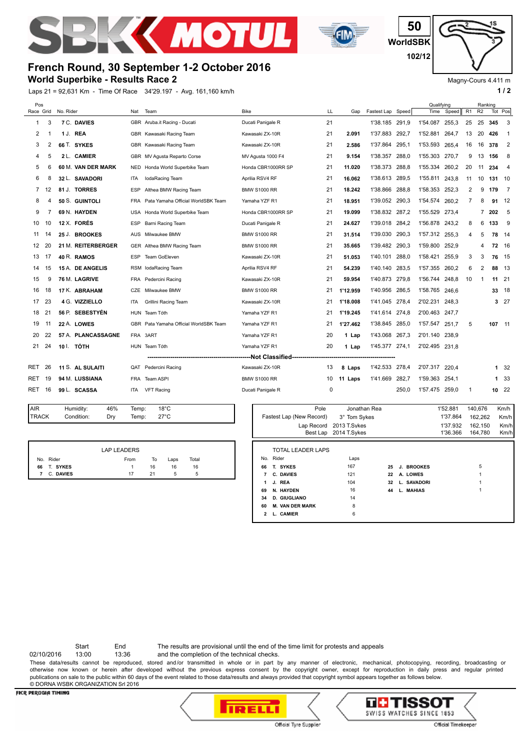



**WorldSBK 50 102/12**

## **French Round, 30 September 1-2 October 2016**

**World Superbike - Results Race 2**

Laps 21 = 92,631 Km - Time Of Race 34'29.197 - Avg. 161,160 km/h **1 / 2**

Magny-Cours 4.411 m

| Pos             |                |                             |            |                                        |                                    |      |          |                   |       | Qualifying     |          |         |                | Ranking |                            |
|-----------------|----------------|-----------------------------|------------|----------------------------------------|------------------------------------|------|----------|-------------------|-------|----------------|----------|---------|----------------|---------|----------------------------|
| Race Grid       |                | No. Rider                   | Nat        | Team                                   | <b>Bike</b>                        | LL   | Gap      | Fastest Lap Speed |       | Time           | Speed    | R1      | R <sub>2</sub> |         | Tot Pos                    |
| 1               | 3              | 7 C. DAVIES                 |            | GBR Aruba.it Racing - Ducati           | Ducati Panigale R                  | 21   |          | 1'38.185 291.9    |       | 1'54.087       | 255,3    | 25      | 25             | 345     | 3                          |
| 2               | 1              | 1 J. REA                    |            | GBR Kawasaki Racing Team               | Kawasaki ZX-10R                    | 21   | 2.091    | 1'37.883          | 292.7 | 1'52.881       | 264.7    | 13      | 20             | 426     | - 1                        |
| 3               | $\overline{2}$ | 66 T. SYKES                 |            | GBR Kawasaki Racing Team               | Kawasaki ZX-10R                    | 21   | 2.586    | 1'37.864 295,1    |       | 1'53.593       | 265,4    | 16      | 16             | 378     | $\overline{\phantom{0}}^2$ |
| 4               | 5              | 2 L. CAMIER                 |            | GBR MV Agusta Reparto Corse            | MV Agusta 1000 F4                  | 21   | 9.154    | 1'38.357          | 288,0 | 1'55.303       | 270,7    | 9       | 13             | 156     | 8                          |
| 5               | 6              | 60 M. VAN DER MARK          | NED.       | Honda World Superbike Team             | Honda CBR1000RR SP                 | 21   | 11.020   | 1'38.373          | 288.8 | 1'55.334       | 260,2    | 20      | 11             | 234     | $\overline{4}$             |
| 6               | 8              | 32 L. SAVADORI              | ITA        | lodaRacing Team                        | Aprilia RSV4 RF                    | 21   | 16.062   | 1'38.613          | 289,5 | 1'55.811       | 243,8    | 11      | 10             | 131 10  |                            |
| 7               | 12             | 81 J. TORRES                | ESP        | Althea BMW Racing Team                 | <b>BMW S1000 RR</b>                | 21   | 18.242   | 1'38.866          | 288,8 | 1'58.353       | 252,3    | 2       | 9              | 179     | $\overline{7}$             |
| 8               | 4              | 50 S. GUINTOLI              | <b>FRA</b> | Pata Yamaha Official WorldSBK Team     | Yamaha YZF R1                      | 21   | 18.951   | 1'39.052          | 290,3 | 1'54.574       | 260,2    | 7       | 8              | 91      | 12                         |
| 9               | 7              | 69 N. HAYDEN                | USA        | Honda World Superbike Team             | Honda CBR1000RR SP                 | 21   | 19.099   | 1'38.832          | 287.2 | 1'55.529       | 273.4    |         | 7              | 202     | - 5                        |
| 10              | 10             | 12 X. FORÉS                 | <b>ESP</b> | Barni Racing Team                      | Ducati Panigale R                  | 21   | 24.627   | 1'39.018          | 284.2 | 1'56.878       | 243,2    | 8       | 6              | 133     | - 9                        |
| 11              | 14             | 25 J. BROOKES               | AUS        | Milwaukee BMW                          | <b>BMW S1000 RR</b>                | 21   | 31.514   | 1'39.030 290,3    |       | 1'57.312       | 255.3    | 4       | 5              |         | 78 14                      |
| 12              | 20             | 21 M. REITERBERGER          |            | GER Althea BMW Racing Team             | <b>BMW S1000 RR</b>                | 21   | 35.665   | 1'39.482 290,3    |       | 1'59.800       | 252,9    |         | 4              |         | 72 16                      |
| 13              | 17             | 40 R. RAMOS                 | <b>ESP</b> | Team GoEleven                          | Kawasaki ZX-10R                    | 21   | 51.053   | 1'40.101          | 288.0 | 1'58.421       | 255.9    | 3       | 3              |         | 76 15                      |
| 14              | 15             | 15 A. DE ANGELIS            | RSM        | IodaRacing Team                        | Aprilia RSV4 RF                    | 21   | 54.239   | 1'40.140 283.5    |       | 1'57.355       | 260.2    | 6       | $\overline{2}$ |         | 88 13                      |
| 15              | 9              | 76 M. LAGRIVE               | <b>FRA</b> | Pedercini Racing                       | Kawasaki ZX-10R                    | 21   | 59.954   | 1'40.873 279.8    |       | 1'56.744       | 248,8    | 10      | -1             |         | $11 \quad 21$              |
| 16              | 18             | 17 K. ABRAHAM               | CZE        | Milwaukee BMW                          | <b>BMW S1000 RR</b>                | 21   | 1'12.959 | 1'40.956          | 286,5 | 1'58.765       | 246,6    |         |                |         | 33 18                      |
| 17              | 23             | 4 G. VIZZIELLO              | ITA        | Grillini Racing Team                   | Kawasaki ZX-10R                    | 21   | 1'18.008 | 1'41.045          | 278,4 | 2'02.231       | 248,3    |         |                |         | 327                        |
| 18              | 21             | 56 P. SEBESTYÉN             |            | HUN Team Tóth                          | Yamaha YZF R1                      | 21   | 1'19.245 | 1'41.614 274,8    |       | 2'00.463       | 247.7    |         |                |         |                            |
| 19              | 11             | 22 A. LOWES                 | GBR        | Pata Yamaha Official WorldSBK Team     | Yamaha YZF R1                      | 21   | 1'27.462 | 1'38.845          | 285,0 | 1'57.547       | 251,7    | 5       |                | 107 11  |                            |
| 20              | 22             | 57 A. PLANCASSAGNE          |            | FRA 3ART                               | Yamaha YZF R1                      | 20   | 1 Lap    | 1'43.068 267,3    |       | 2'01.140       | 238.9    |         |                |         |                            |
| 21              | 24             | 10 I. TÓTH                  |            | HUN Team Tóth                          | Yamaha YZF R1                      | 20   | 1 Lap    | 1'45.377 274,1    |       | 2'02.495       | 231,8    |         |                |         |                            |
|                 |                |                             |            | -------------------------------------- | ------Not Classified-------------- |      |          |                   |       |                |          |         |                |         |                            |
| RET             | 26             | 11 S. AL SULAITI            | QAT        | Pedercini Racing                       | Kawasaki ZX-10R                    | 13   | 8 Laps   | 1'42.533          | 278.4 | 2'07.317       | 220.4    |         |                |         | 1 <sup>32</sup>            |
| RET             | 19             | 94 M. LUSSIANA              | <b>FRA</b> | <b>Team ASPI</b>                       | <b>BMW S1000 RR</b>                | 10   | 11 Laps  | 1'41.669          | 282,7 | 1'59.363       | 254.1    |         |                |         | 1 33                       |
| RET             | 16             | 99 L. SCASSA                | <b>ITA</b> | <b>VFT Racing</b>                      | Ducati Panigale R                  | 0    |          |                   | 250,0 | 1'57.475 259,0 |          | 1       |                |         | $10^{22}$                  |
| $\overline{AB}$ |                | ACO<br><b>Linea</b> isliker | Tamp:      | 1000                                   |                                    | Dele |          | Jonathan Dea      |       |                | 4!50.004 | 140.67c |                |         | 1/m/h                      |
|                 |                |                             |            |                                        |                                    |      |          |                   |       |                |          |         |                |         |                            |

| <b>TRACK</b> | Condition:      | Dry  | Temp:  | $27^{\circ}$ C |  |
|--------------|-----------------|------|--------|----------------|--|
| 1            | <b>Hummuly.</b> | 40/0 | IGHIP. | $\sim$         |  |

|    |           | <b>LAP LEADERS</b> |    |      |       |  |
|----|-----------|--------------------|----|------|-------|--|
|    | No. Rider | From               | To | Laps | Total |  |
| 66 | T. SYKES  |                    | 16 | 16   | 16    |  |
|    | C. DAVIES | 17                 | 21 | 5    |       |  |

| AIR          | Humidity:   | 46%                | Temp: |    | $18^{\circ}$ C |       |    | Pole                     | Jonathan Rea            |  |                | 1'52.881 | 140,676 | Km/h |
|--------------|-------------|--------------------|-------|----|----------------|-------|----|--------------------------|-------------------------|--|----------------|----------|---------|------|
| <b>TRACK</b> | Condition:  | Dry                | Temp: |    | $27^{\circ}$ C |       |    | Fastest Lap (New Record) | 3° Tom Sykes            |  |                | 1'37.864 | 162,262 | Km/h |
|              |             |                    |       |    |                |       |    |                          | Lap Record 2013 T.Sykes |  |                | 1'37.932 | 162,150 | Km/h |
|              |             |                    |       |    |                |       |    |                          | Best Lap 2014 T.Sykes   |  |                | 1'36.366 | 164,780 | Km/h |
|              |             | <b>LAP LEADERS</b> |       |    |                |       |    | <b>TOTAL LEADER LAPS</b> |                         |  |                |          |         |      |
|              | No. Rider   |                    | From  | To | Laps           | Total |    | No. Rider                | Laps                    |  |                |          |         |      |
|              | 66 T. SYKES |                    |       | 16 | 16             | 16    |    | 66 T. SYKES              | 167                     |  | 25 J. BROOKES  |          | 5       |      |
|              | 7 C. DAVIES |                    | 17    | 21 | 5              | 5     |    | 7 C. DAVIES              | 121                     |  | 22 A. LOWES    |          |         |      |
|              |             |                    |       |    |                |       |    | 1 J. REA                 | 104                     |  | 32 L. SAVADORI |          |         |      |
|              |             |                    |       |    |                |       | 69 | N. HAYDEN                | 16                      |  | 44 L. MAHIAS   |          |         |      |
|              |             |                    |       |    |                |       |    | 34 D. GIUGLIANO          | 14                      |  |                |          |         |      |
|              |             |                    |       |    |                |       |    | 60 M. VAN DER MARK       | 8                       |  |                |          |         |      |
|              |             |                    |       |    |                |       |    | 2 L. CAMIER              | 6                       |  |                |          |         |      |
|              |             |                    |       |    |                |       |    |                          |                         |  |                |          |         |      |

Start End The results are provisional until the end of the time limit for protests and appeals

02/10/2016 13:00 13:36 and the completion of the technical checks. These data/results cannot be reproduced, stored and/or transmitted in whole or in part by any manner of electronic, mechanical, photocopying, recording, broadcasting or otherwise now known or herein after developed without the previous express consent by the copyright owner, except for reproduction in daily press and regular printed publications on sale to the public within 60 days of the event related to those data/results and always provided that copyright symbol appears together as follows below. © DORNA WSBK ORGANIZATION Srl 2016

## FICR PERUGIA TIMING